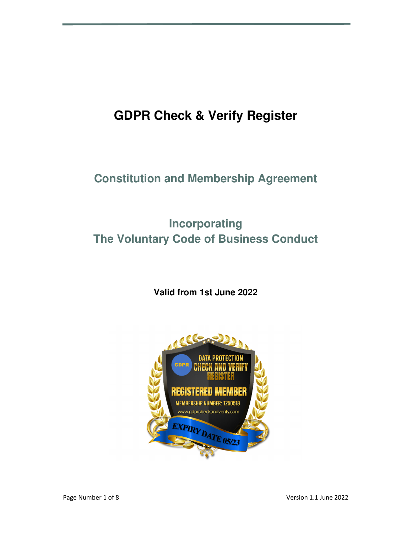# **GDPR Check & Verify Register**

### **Constitution and Membership Agreement**

## **Incorporating The Voluntary Code of Business Conduct**

### **Valid from 1st June 2022**

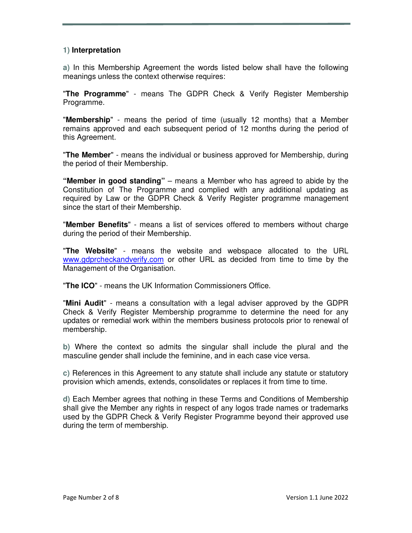#### **1) Interpretation**

**a)** In this Membership Agreement the words listed below shall have the following meanings unless the context otherwise requires:

"**The Programme**" - means The GDPR Check & Verify Register Membership Programme.

"**Membership**" - means the period of time (usually 12 months) that a Member remains approved and each subsequent period of 12 months during the period of this Agreement.

"**The Member**" - means the individual or business approved for Membership, during the period of their Membership.

**"Member in good standing"** – means a Member who has agreed to abide by the Constitution of The Programme and complied with any additional updating as required by Law or the GDPR Check & Verify Register programme management since the start of their Membership.

"**Member Benefits**" - means a list of services offered to members without charge during the period of their Membership.

"**The Website**" - means the website and webspace allocated to the URL www.gdprcheckandverify.com or other URL as decided from time to time by the Management of the Organisation.

"**The ICO**" - means the UK Information Commissioners Office.

"**Mini Audit**" - means a consultation with a legal adviser approved by the GDPR Check & Verify Register Membership programme to determine the need for any updates or remedial work within the members business protocols prior to renewal of membership.

**b)** Where the context so admits the singular shall include the plural and the masculine gender shall include the feminine, and in each case vice versa.

**c)** References in this Agreement to any statute shall include any statute or statutory provision which amends, extends, consolidates or replaces it from time to time.

**d)** Each Member agrees that nothing in these Terms and Conditions of Membership shall give the Member any rights in respect of any logos trade names or trademarks used by the GDPR Check & Verify Register Programme beyond their approved use during the term of membership.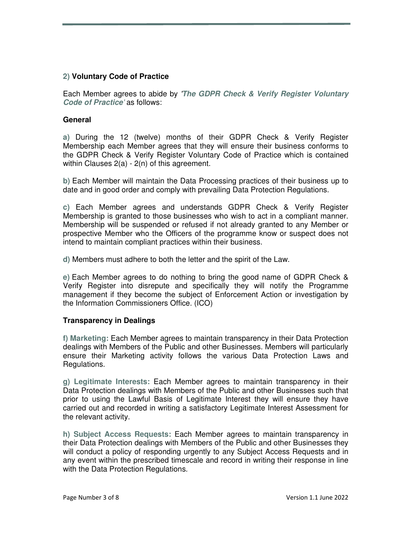#### **2) Voluntary Code of Practice**

Each Member agrees to abide by '**The GDPR Check & Verify Register Voluntary Code of Practice**' as follows:

#### **General**

**a)** During the 12 (twelve) months of their GDPR Check & Verify Register Membership each Member agrees that they will ensure their business conforms to the GDPR Check & Verify Register Voluntary Code of Practice which is contained within Clauses 2(a) - 2(n) of this agreement.

**b)** Each Member will maintain the Data Processing practices of their business up to date and in good order and comply with prevailing Data Protection Regulations.

**c)** Each Member agrees and understands GDPR Check & Verify Register Membership is granted to those businesses who wish to act in a compliant manner. Membership will be suspended or refused if not already granted to any Member or prospective Member who the Officers of the programme know or suspect does not intend to maintain compliant practices within their business.

**d)** Members must adhere to both the letter and the spirit of the Law.

**e)** Each Member agrees to do nothing to bring the good name of GDPR Check & Verify Register into disrepute and specifically they will notify the Programme management if they become the subject of Enforcement Action or investigation by the Information Commissioners Office. (ICO)

#### **Transparency in Dealings**

**f) Marketing:** Each Member agrees to maintain transparency in their Data Protection dealings with Members of the Public and other Businesses. Members will particularly ensure their Marketing activity follows the various Data Protection Laws and Regulations.

**g) Legitimate Interests:** Each Member agrees to maintain transparency in their Data Protection dealings with Members of the Public and other Businesses such that prior to using the Lawful Basis of Legitimate Interest they will ensure they have carried out and recorded in writing a satisfactory Legitimate Interest Assessment for the relevant activity.

**h) Subject Access Requests:** Each Member agrees to maintain transparency in their Data Protection dealings with Members of the Public and other Businesses they will conduct a policy of responding urgently to any Subject Access Requests and in any event within the prescribed timescale and record in writing their response in line with the Data Protection Regulations.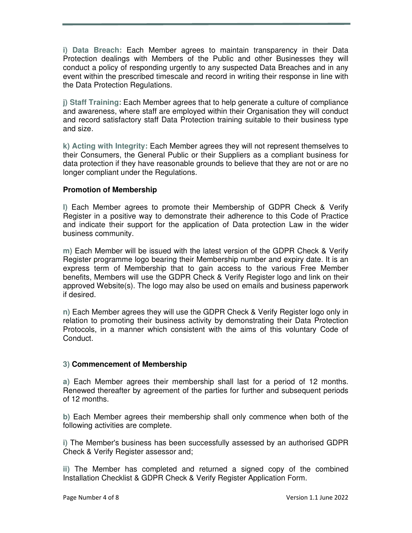**i) Data Breach:** Each Member agrees to maintain transparency in their Data Protection dealings with Members of the Public and other Businesses they will conduct a policy of responding urgently to any suspected Data Breaches and in any event within the prescribed timescale and record in writing their response in line with the Data Protection Regulations.

**j) Staff Training:** Each Member agrees that to help generate a culture of compliance and awareness, where staff are employed within their Organisation they will conduct and record satisfactory staff Data Protection training suitable to their business type and size.

**k) Acting with Integrity:** Each Member agrees they will not represent themselves to their Consumers, the General Public or their Suppliers as a compliant business for data protection if they have reasonable grounds to believe that they are not or are no longer compliant under the Regulations.

#### **Promotion of Membership**

**l)** Each Member agrees to promote their Membership of GDPR Check & Verify Register in a positive way to demonstrate their adherence to this Code of Practice and indicate their support for the application of Data protection Law in the wider business community.

**m)** Each Member will be issued with the latest version of the GDPR Check & Verify Register programme logo bearing their Membership number and expiry date. It is an express term of Membership that to gain access to the various Free Member benefits, Members will use the GDPR Check & Verify Register logo and link on their approved Website(s). The logo may also be used on emails and business paperwork if desired.

**n)** Each Member agrees they will use the GDPR Check & Verify Register logo only in relation to promoting their business activity by demonstrating their Data Protection Protocols, in a manner which consistent with the aims of this voluntary Code of Conduct.

#### **3) Commencement of Membership**

**a)** Each Member agrees their membership shall last for a period of 12 months. Renewed thereafter by agreement of the parties for further and subsequent periods of 12 months.

**b)** Each Member agrees their membership shall only commence when both of the following activities are complete.

**i)** The Member's business has been successfully assessed by an authorised GDPR Check & Verify Register assessor and;

**ii)** The Member has completed and returned a signed copy of the combined Installation Checklist & GDPR Check & Verify Register Application Form.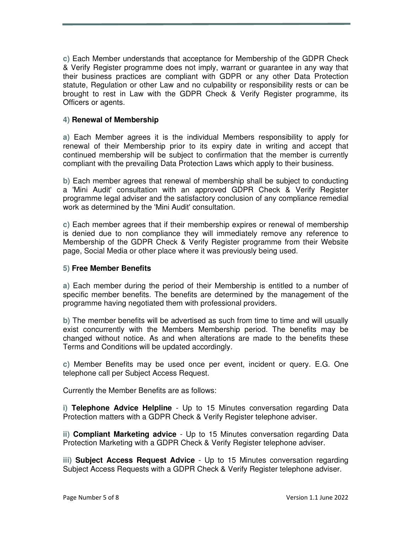**c)** Each Member understands that acceptance for Membership of the GDPR Check & Verify Register programme does not imply, warrant or guarantee in any way that their business practices are compliant with GDPR or any other Data Protection statute, Regulation or other Law and no culpability or responsibility rests or can be brought to rest in Law with the GDPR Check & Verify Register programme, its Officers or agents.

#### **4) Renewal of Membership**

**a)** Each Member agrees it is the individual Members responsibility to apply for renewal of their Membership prior to its expiry date in writing and accept that continued membership will be subject to confirmation that the member is currently compliant with the prevailing Data Protection Laws which apply to their business.

**b)** Each member agrees that renewal of membership shall be subject to conducting a 'Mini Audit' consultation with an approved GDPR Check & Verify Register programme legal adviser and the satisfactory conclusion of any compliance remedial work as determined by the 'Mini Audit' consultation.

**c)** Each member agrees that if their membership expires or renewal of membership is denied due to non compliance they will immediately remove any reference to Membership of the GDPR Check & Verify Register programme from their Website page, Social Media or other place where it was previously being used.

#### **5) Free Member Benefits**

**a)** Each member during the period of their Membership is entitled to a number of specific member benefits. The benefits are determined by the management of the programme having negotiated them with professional providers.

**b)** The member benefits will be advertised as such from time to time and will usually exist concurrently with the Members Membership period. The benefits may be changed without notice. As and when alterations are made to the benefits these Terms and Conditions will be updated accordingly.

**c)** Member Benefits may be used once per event, incident or query. E.G. One telephone call per Subject Access Request.

Currently the Member Benefits are as follows:

**i) Telephone Advice Helpline** - Up to 15 Minutes conversation regarding Data Protection matters with a GDPR Check & Verify Register telephone adviser.

**ii) Compliant Marketing advice** - Up to 15 Minutes conversation regarding Data Protection Marketing with a GDPR Check & Verify Register telephone adviser.

**iii) Subject Access Request Advice** - Up to 15 Minutes conversation regarding Subject Access Requests with a GDPR Check & Verify Register telephone adviser.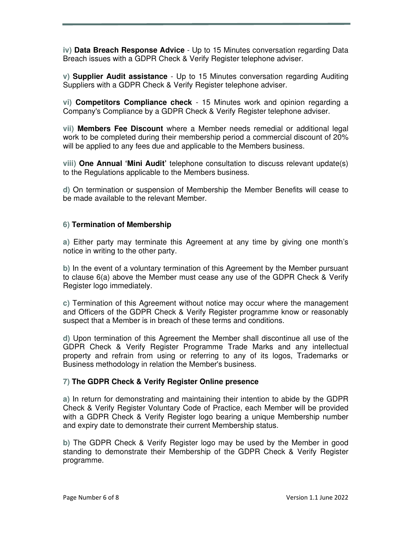**iv) Data Breach Response Advice** - Up to 15 Minutes conversation regarding Data Breach issues with a GDPR Check & Verify Register telephone adviser.

**v) Supplier Audit assistance** - Up to 15 Minutes conversation regarding Auditing Suppliers with a GDPR Check & Verify Register telephone adviser.

**vi) Competitors Compliance check** - 15 Minutes work and opinion regarding a Company's Compliance by a GDPR Check & Verify Register telephone adviser.

**vii) Members Fee Discount** where a Member needs remedial or additional legal work to be completed during their membership period a commercial discount of 20% will be applied to any fees due and applicable to the Members business.

**viii) One Annual 'Mini Audit'** telephone consultation to discuss relevant update(s) to the Regulations applicable to the Members business.

**d)** On termination or suspension of Membership the Member Benefits will cease to be made available to the relevant Member.

#### **6) Termination of Membership**

**a)** Either party may terminate this Agreement at any time by giving one month's notice in writing to the other party.

**b)** In the event of a voluntary termination of this Agreement by the Member pursuant to clause 6(a) above the Member must cease any use of the GDPR Check & Verify Register logo immediately.

**c)** Termination of this Agreement without notice may occur where the management and Officers of the GDPR Check & Verify Register programme know or reasonably suspect that a Member is in breach of these terms and conditions.

**d)** Upon termination of this Agreement the Member shall discontinue all use of the GDPR Check & Verify Register Programme Trade Marks and any intellectual property and refrain from using or referring to any of its logos, Trademarks or Business methodology in relation the Member's business.

#### **7) The GDPR Check & Verify Register Online presence**

**a)** In return for demonstrating and maintaining their intention to abide by the GDPR Check & Verify Register Voluntary Code of Practice, each Member will be provided with a GDPR Check & Verify Register logo bearing a unique Membership number and expiry date to demonstrate their current Membership status.

**b)** The GDPR Check & Verify Register logo may be used by the Member in good standing to demonstrate their Membership of the GDPR Check & Verify Register programme.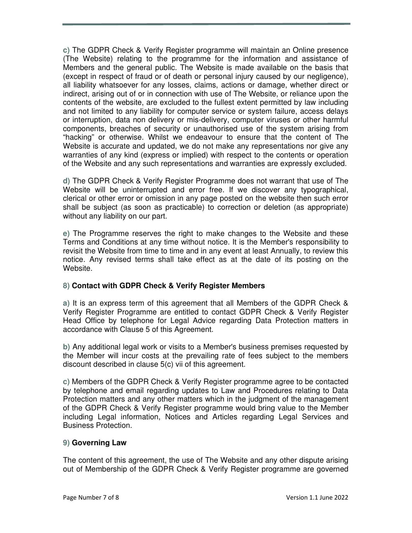**c)** The GDPR Check & Verify Register programme will maintain an Online presence (The Website) relating to the programme for the information and assistance of Members and the general public. The Website is made available on the basis that (except in respect of fraud or of death or personal injury caused by our negligence), all liability whatsoever for any losses, claims, actions or damage, whether direct or indirect, arising out of or in connection with use of The Website, or reliance upon the contents of the website, are excluded to the fullest extent permitted by law including and not limited to any liability for computer service or system failure, access delays or interruption, data non delivery or mis-delivery, computer viruses or other harmful components, breaches of security or unauthorised use of the system arising from "hacking" or otherwise. Whilst we endeavour to ensure that the content of The Website is accurate and updated, we do not make any representations nor give any warranties of any kind (express or implied) with respect to the contents or operation of the Website and any such representations and warranties are expressly excluded.

**d)** The GDPR Check & Verify Register Programme does not warrant that use of The Website will be uninterrupted and error free. If we discover any typographical, clerical or other error or omission in any page posted on the website then such error shall be subject (as soon as practicable) to correction or deletion (as appropriate) without any liability on our part.

**e)** The Programme reserves the right to make changes to the Website and these Terms and Conditions at any time without notice. It is the Member's responsibility to revisit the Website from time to time and in any event at least Annually, to review this notice. Any revised terms shall take effect as at the date of its posting on the Website.

#### **8) Contact with GDPR Check & Verify Register Members**

**a)** It is an express term of this agreement that all Members of the GDPR Check & Verify Register Programme are entitled to contact GDPR Check & Verify Register Head Office by telephone for Legal Advice regarding Data Protection matters in accordance with Clause 5 of this Agreement.

**b)** Any additional legal work or visits to a Member's business premises requested by the Member will incur costs at the prevailing rate of fees subject to the members discount described in clause 5(c) vii of this agreement.

**c)** Members of the GDPR Check & Verify Register programme agree to be contacted by telephone and email regarding updates to Law and Procedures relating to Data Protection matters and any other matters which in the judgment of the management of the GDPR Check & Verify Register programme would bring value to the Member including Legal information, Notices and Articles regarding Legal Services and Business Protection.

#### **9) Governing Law**

The content of this agreement, the use of The Website and any other dispute arising out of Membership of the GDPR Check & Verify Register programme are governed